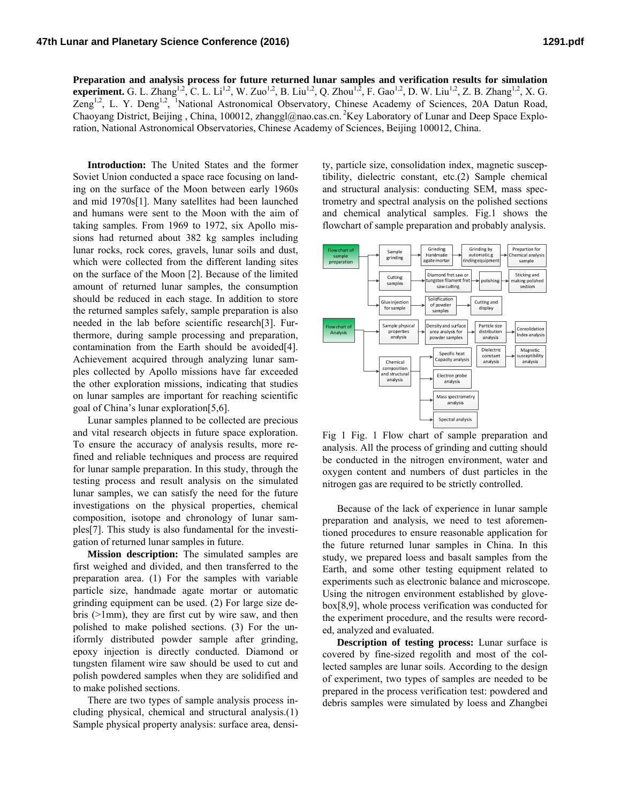**Preparation and analysis process for future returned lunar samples and verification results for simulation experiment.** G. L. Zhang<sup>1,2</sup>, C. L. Li<sup>1,2</sup>, W. Zuo<sup>1,2</sup>, B. Liu<sup>1,2</sup>, Q. Zhou<sup>1,2</sup>, F. Gao<sup>1,2</sup>, D. W. Liu<sup>1,2</sup>, Z. B. Zhang<sup>1,2</sup>, X. G. Zeng<sup>1,2</sup>, L. Y. Deng<sup>1,2</sup>, <sup>1</sup>National Astronomical Observatory, Chinese Academy of Sciences, 20A Datun Road, Chaoyang District, Beijing , China, 100012, zhanggl@nao.cas.cn. 2Key Laboratory of Lunar and Deep Space Exploration, National Astronomical Observatories, Chinese Academy of Sciences, Beijing 100012, China.

**Introduction:** The United States and the former Soviet Union conducted a space race focusing on landing on the surface of the Moon between early 1960s and mid 1970s[1]. Many satellites had been launched and humans were sent to the Moon with the aim of taking samples. From 1969 to 1972, six Apollo missions had returned about 382 kg samples including lunar rocks, rock cores, gravels, lunar soils and dust, which were collected from the different landing sites on the surface of the Moon [2]. Because of the limited amount of returned lunar samples, the consumption should be reduced in each stage. In addition to store the returned samples safely, sample preparation is also needed in the lab before scientific research[3]. Furthermore, during sample processing and preparation, contamination from the Earth should be avoided[4]. Achievement acquired through analyzing lunar samples collected by Apollo missions have far exceeded the other exploration missions, indicating that studies on lunar samples are important for reaching scientific goal of China's lunar exploration[5,6].

Lunar samples planned to be collected are precious and vital research objects in future space exploration. To ensure the accuracy of analysis results, more refined and reliable techniques and process are required for lunar sample preparation. In this study, through the testing process and result analysis on the simulated lunar samples, we can satisfy the need for the future investigations on the physical properties, chemical composition, isotope and chronology of lunar samples[7]. This study is also fundamental for the investigation of returned lunar samples in future.

**Mission description:** The simulated samples are first weighed and divided, and then transferred to the preparation area. (1) For the samples with variable particle size, handmade agate mortar or automatic grinding equipment can be used. (2) For large size debris (>1mm), they are first cut by wire saw, and then polished to make polished sections. (3) For the uniformly distributed powder sample after grinding, epoxy injection is directly conducted. Diamond or tungsten filament wire saw should be used to cut and polish powdered samples when they are solidified and to make polished sections.

There are two types of sample analysis process including physical, chemical and structural analysis.(1) Sample physical property analysis: surface area, density, particle size, consolidation index, magnetic susceptibility, dielectric constant, etc.(2) Sample chemical and structural analysis: conducting SEM, mass spectrometry and spectral analysis on the polished sections and chemical analytical samples. Fig.1 shows the flowchart of sample preparation and probably analysis.



Fig 1 Fig. 1 Flow chart of sample preparation and analysis. All the process of grinding and cutting should be conducted in the nitrogen environment, water and oxygen content and numbers of dust particles in the nitrogen gas are required to be strictly controlled.

Because of the lack of experience in lunar sample preparation and analysis, we need to test aforementioned procedures to ensure reasonable application for the future returned lunar samples in China. In this study, we prepared loess and basalt samples from the Earth, and some other testing equipment related to experiments such as electronic balance and microscope. Using the nitrogen environment established by glovebox[8,9], whole process verification was conducted for the experiment procedure, and the results were recorded, analyzed and evaluated.

**Description of testing process:** Lunar surface is covered by fine-sized regolith and most of the collected samples are lunar soils. According to the design of experiment, two types of samples are needed to be prepared in the process verification test: powdered and debris samples were simulated by loess and Zhangbei